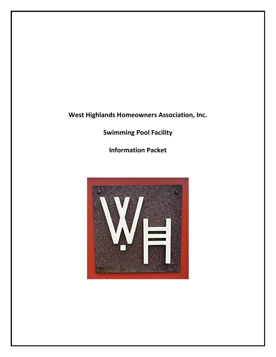# **West Highlands Homeowners Association, Inc.**

**Swimming Pool Facility** 

**Information Packet**

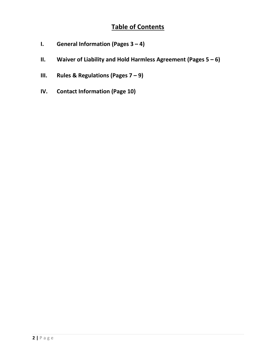## **Table of Contents**

- **I. General Information (Pages 3 – 4)**
- **II. Waiver of Liability and Hold Harmless Agreement (Pages 5 – 6)**
- **III. Rules & Regulations (Pages 7 – 9)**
- **IV. Contact Information (Page 10)**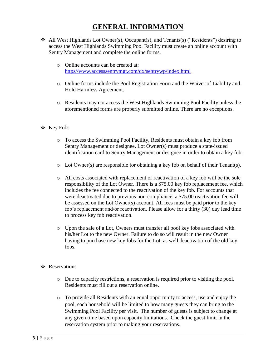### **GENERAL INFORMATION**

- All West Highlands Lot Owner(s), Occupant(s), and Tenants(s) ("Residents") desiring to access the West Highlands Swimming Pool Facility must create an online account with Sentry Management and complete the online forms.
	- o Online accounts can be created at: [https//www.accesssentrymgt.com/dx/sentrywp/index.html](https://www.accesssentrymgt.com/dx/sentrywp/index.html)
	- o Online forms include the Pool Registration Form and the Waiver of Liability and Hold Harmless Agreement.
	- o Residents may not access the West Highlands Swimming Pool Facility unless the aforementioned forms are properly submitted online. There are no exceptions.
- $\div$  Key Fobs
	- o To access the Swimming Pool Facility, Residents must obtain a key fob from Sentry Management or designee. Lot Owner(s) must produce a state-issued identification card to Sentry Management or designee in order to obtain a key fob.
	- o Lot Owner(s) are responsible for obtaining a key fob on behalf of their Tenant(s).
	- o All costs associated with replacement or reactivation of a key fob will be the sole responsibility of the Lot Owner. There is a \$75.00 key fob replacement fee, which includes the fee connected to the reactivation of the key fob. For accounts that were deactivated due to previous non-compliance, a \$75.00 reactivation fee will be assessed on the Lot Owner(s) account. All fees must be paid prior to the key fob's replacement and/or reactivation. Please allow for a thirty (30) day lead time to process key fob reactivation.
	- o Upon the sale of a Lot, Owners must transfer all pool key fobs associated with his/her Lot to the new Owner. Failure to do so will result in the new Owner having to purchase new key fobs for the Lot, as well deactivation of the old key fobs.
- ❖ Reservations
	- o Due to capacity restrictions, a reservation is required prior to visiting the pool. Residents must fill out a reservation online.
	- o To provide all Residents with an equal opportunity to access, use and enjoy the pool, each household will be limited to how many guests they can bring to the Swimming Pool Facility per visit. The number of guests is subject to change at any given time based upon capacity limitations. Check the guest limit in the reservation system prior to making your reservations.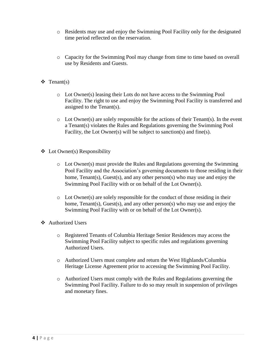- o Residents may use and enjoy the Swimming Pool Facility only for the designated time period reflected on the reservation.
- o Capacity for the Swimming Pool may change from time to time based on overall use by Residents and Guests.
- $\div$  Tenant(s)
	- o Lot Owner(s) leasing their Lots do not have access to the Swimming Pool Facility. The right to use and enjoy the Swimming Pool Facility is transferred and assigned to the Tenant(s).
	- $\circ$  Lot Owner(s) are solely responsible for the actions of their Tenant(s). In the event a Tenant(s) violates the Rules and Regulations governing the Swimming Pool Facility, the Lot Owner(s) will be subject to sanction(s) and fine(s).
- $\triangleleft$  Lot Owner(s) Responsibility
	- o Lot Owner(s) must provide the Rules and Regulations governing the Swimming Pool Facility and the Association's governing documents to those residing in their home, Tenant(s), Guest(s), and any other person(s) who may use and enjoy the Swimming Pool Facility with or on behalf of the Lot Owner(s).
	- $\circ$  Lot Owner(s) are solely responsible for the conduct of those residing in their home, Tenant(s), Guest(s), and any other person(s) who may use and enjoy the Swimming Pool Facility with or on behalf of the Lot Owner(s).
- ❖ Authorized Users
	- o Registered Tenants of Columbia Heritage Senior Residences may access the Swimming Pool Facility subject to specific rules and regulations governing Authorized Users.
	- o Authorized Users must complete and return the West Highlands/Columbia Heritage License Agreement prior to accessing the Swimming Pool Facility.
	- o Authorized Users must comply with the Rules and Regulations governing the Swimming Pool Facility. Failure to do so may result in suspension of privileges and monetary fines.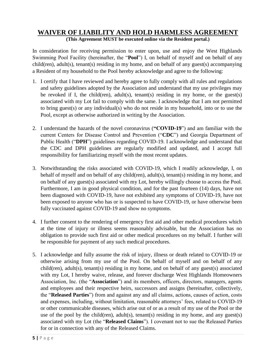### **WAIVER OF LIABILITY AND HOLD HARMLESS AGREEMENT**

**(This Agreement MUST be executed online via the Resident portal.)**

In consideration for receiving permission to enter upon, use and enjoy the West Highlands Swimming Pool Facility (hereinafter, the "**Pool**") I, on behalf of myself and on behalf of any child(ren), adult(s), tenant(s) residing in my home, and on behalf of any guest(s) accompanying a Resident of my household to the Pool hereby acknowledge and agree to the following:

- 1. I certify that I have reviewed and hereby agree to fully comply with all rules and regulations and safety guidelines adopted by the Association and understand that my use privileges may be revoked if I, the child(ren), adult(s), tenant(s) residing in my home, or the guest(s) associated with my Lot fail to comply with the same. I acknowledge that I am not permitted to bring guest(s) or any individual(s) who do not reside in my household, into or to use the Pool, except as otherwise authorized in writing by the Association.
- 2. I understand the hazards of the novel coronavirus (**"COVID-19**") and am familiar with the current Centers for Disease Control and Prevention ("**CDC**") and Georgia Department of Public Health ("**DPH**") guidelines regarding COVID-19. I acknowledge and understand that the CDC and DPH guidelines are regularly modified and updated, and I accept full responsibility for familiarizing myself with the most recent updates.
- 3. Notwithstanding the risks associated with COVID-19, which I readily acknowledge, I, on behalf of myself and on behalf of any child(ren), adult(s), tenant(s) residing in my home, and on behalf of any guest(s) associated with my Lot, hereby willingly choose to access the Pool. Furthermore, I am in good physical condition, and for the past fourteen (14) days, have not been diagnosed with COVID-19, have not exhibited any symptoms of COVID-19, have not been exposed to anyone who has or is suspected to have COVID-19, or have otherwise been fully vaccinated against COVID-19 and show no symptoms.
- 4. I further consent to the rendering of emergency first aid and other medical procedures which at the time of injury or illness seems reasonably advisable, but the Association has no obligation to provide such first aid or other medical procedures on my behalf. I further will be responsible for payment of any such medical procedures.
- 5. I acknowledge and fully assume the risk of injury, illness or death related to COVID-19 or otherwise arising from my use of the Pool. On behalf of myself and on behalf of any child(ren), adult(s), tenant(s) residing in my home, and on behalf of any guest(s) associated with my Lot, I hereby waive, release, and forever discharge West Highlands Homeowners Association, Inc. (the "**Association**") and its members, officers, directors, managers, agents and employees and their respective heirs, successors and assigns (hereinafter, collectively, the "**Released Parties**") from and against any and all claims, actions, causes of action, costs and expenses, including, without limitation, reasonable attorneys' fees, related to COVID-19 or other communicable diseases, which arise out of or as a result of my use of the Pool or the use of the pool by the child(ren), adult(s), tenant(s) residing in my home, and any guest(s) associated with my Lot (the "**Released Claims**"). I covenant not to sue the Released Parties for or in connection with any of the Released Claims.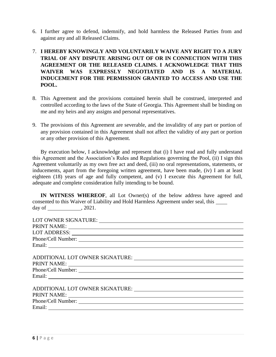- 6. I further agree to defend, indemnify, and hold harmless the Released Parties from and against any and all Released Claims.
- 7. **I HEREBY KNOWINGLY AND VOLUNTARILY WAIVE ANY RIGHT TO A JURY TRIAL OF ANY DISPUTE ARISING OUT OF OR IN CONNECTION WITH THIS AGREEMENT OR THE RELEASED CLAIMS. I ACKNOWLEDGE THAT THIS WAIVER WAS EXPRESSLY NEGOTIATED AND IS A MATERIAL INDUCEMENT FOR THE PERMISSION GRANTED TO ACCESS AND USE THE POOL.**
- 8. This Agreement and the provisions contained herein shall be construed, interpreted and controlled according to the laws of the State of Georgia. This Agreement shall be binding on me and my heirs and any assigns and personal representatives.
- 9. The provisions of this Agreement are severable, and the invalidity of any part or portion of any provision contained in this Agreement shall not affect the validity of any part or portion or any other provision of this Agreement.

By execution below, I acknowledge and represent that (i) I have read and fully understand this Agreement and the Association's Rules and Regulations governing the Pool, (ii) I sign this Agreement voluntarily as my own free act and deed, (iii) no oral representations, statements, or inducements, apart from the foregoing written agreement, have been made, (iv) I am at least eighteen (18) years of age and fully competent, and (v) I execute this Agreement for full, adequate and complete consideration fully intending to be bound.

**IN WITNESS WHEREOF,** all Lot Owner(s) of the below address have agreed and consented to this Waiver of Liability and Hold Harmless Agreement under seal, this day of  $, 2021.$ 

| LOT OWNER SIGNATURE: University of the SIGNATURE:                                                                                                                                                                              |
|--------------------------------------------------------------------------------------------------------------------------------------------------------------------------------------------------------------------------------|
|                                                                                                                                                                                                                                |
|                                                                                                                                                                                                                                |
|                                                                                                                                                                                                                                |
|                                                                                                                                                                                                                                |
|                                                                                                                                                                                                                                |
| ADDITIONAL LOT OWNER SIGNATURE: University of the state of the state of the state of the state of the state of the state of the state of the state of the state of the state of the state of the state of the state of the sta |
| PRINT NAME:                                                                                                                                                                                                                    |
|                                                                                                                                                                                                                                |
|                                                                                                                                                                                                                                |
|                                                                                                                                                                                                                                |
| ADDITIONAL LOT OWNER SIGNATURE: University of the state of the state of the state of the state of the state of the state of the state of the state of the state of the state of the state of the state of the state of the sta |
| PRINT NAME:                                                                                                                                                                                                                    |
|                                                                                                                                                                                                                                |
|                                                                                                                                                                                                                                |
|                                                                                                                                                                                                                                |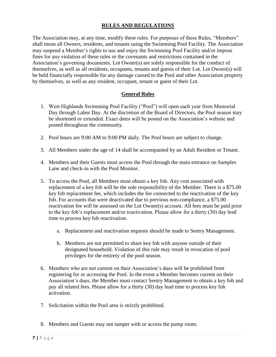#### **RULES AND REGULATIONS**

The Association may, at any time, modify these rules. For purposes of these Rules, "Members" shall mean all Owners, residents, and tenants using the Swimming Pool Facility. The Association may suspend a Member's rights to use and enjoy the Swimming Pool Facility and/or impose fines for any violation of these rules or the covenants and restrictions contained in the Association's governing documents. Lot Owner(s) are solely responsible for the conduct of themselves, as well as all residents, occupants, tenants and guests of their Lot. Lot Owner(s) will be held financially responsible for any damage caused to the Pool and other Association property by themselves, as well as any resident, occupant, tenant or guest of their Lot.

#### **General Rules**

- 1. West Highlands Swimming Pool Facility ("Pool") will open each year from Memorial Day through Labor Day. At the discretion of the Board of Directors, the Pool season may be shortened or extended. Exact dates will be posted on the Association's website and posted throughout the community.
- 2. Pool hours are 9:00 AM to 9:00 PM daily. The Pool hours are subject to change.
- 3. All Members under the age of 14 shall be accompanied by an Adult Resident or Tenant.
- 4. Members and their Guests must access the Pool through the main entrance on Samples Lane and check-in with the Pool Monitor.
- 5. To access the Pool, all Members must obtain a key fob. Any cost associated with replacement of a key fob will be the sole responsibility of the Member. There is a \$75.00 key fob replacement fee, which includes the fee connected to the reactivation of the key fob. For accounts that were deactivated due to previous non-compliance, a \$75.00 reactivation fee will be assessed on the Lot Owner(s) account. All fees must be paid prior to the key fob's replacement and/or reactivation. Please allow for a thirty (30) day lead time to process key fob reactivation.
	- a. Replacement and reactivation requests should be made to Sentry Management.
	- b. Members are not permitted to share key fob with anyone outside of their designated household. Violation of this rule may result in revocation of pool privileges for the entirety of the pool season.
- 6. Members who are not current on their Association's dues will be prohibited from registering for or accessing the Pool. In the event a Member becomes current on their Association's dues, the Member must contact Sentry Management to obtain a key fob and pay all related fees. Please allow for a thirty (30) day lead time to process key fob activation.
- 7. Solicitation within the Pool area is strictly prohibited.
- 8. Members and Guests may not tamper with or access the pump room.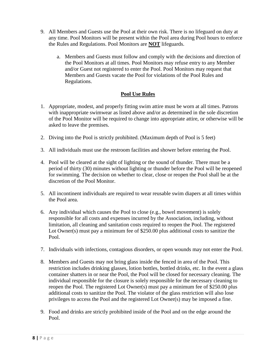- 9. All Members and Guests use the Pool at their own risk. There is no lifeguard on duty at any time. Pool Monitors will be present within the Pool area during Pool hours to enforce the Rules and Regulations. Pool Monitors are **NOT** lifeguards.
	- a. Members and Guests must follow and comply with the decisions and direction of the Pool Monitors at all times. Pool Monitors may refuse entry to any Member and/or Guest not registered to enter the Pool. Pool Monitors may request that Members and Guests vacate the Pool for violations of the Pool Rules and Regulations.

#### **Pool Use Rules**

- 1. Appropriate, modest, and properly fitting swim attire must be worn at all times. Patrons with inappropriate swimwear as listed above and/or as determined in the sole discretion of the Pool Monitor will be required to change into appropriate attire, or otherwise will be asked to leave the premises.
- 2. Diving into the Pool is strictly prohibited. (Maximum depth of Pool is 5 feet)
- 3. All individuals must use the restroom facilities and shower before entering the Pool.
- 4. Pool will be cleared at the sight of lighting or the sound of thunder. There must be a period of thirty (30) minutes without lighting or thunder before the Pool will be reopened for swimming. The decision on whether to clear, close or reopen the Pool shall be at the discretion of the Pool Monitor.
- 5. All incontinent individuals are required to wear reusable swim diapers at all times within the Pool area.
- 6. Any individual which causes the Pool to close (e.g., bowel movement) is solely responsible for all costs and expenses incurred by the Association, including, without limitation, all cleaning and sanitation costs required to reopen the Pool. The registered Lot Owner(s) must pay a minimum fee of \$250.00 plus additional costs to sanitize the Pool.
- 7. Individuals with infections, contagious disorders, or open wounds may not enter the Pool.
- 8. Members and Guests may not bring glass inside the fenced in area of the Pool. This restriction includes drinking glasses, lotion bottles, bottled drinks, etc. In the event a glass container shatters in or near the Pool, the Pool will be closed for necessary cleaning. The individual responsible for the closure is solely responsible for the necessary cleaning to reopen the Pool. The registered Lot Owner(s) must pay a minimum fee of \$250.00 plus additional costs to sanitize the Pool. The violator of the glass restriction will also lose privileges to access the Pool and the registered Lot Owner(s) may be imposed a fine.
- 9. Food and drinks are strictly prohibited inside of the Pool and on the edge around the Pool.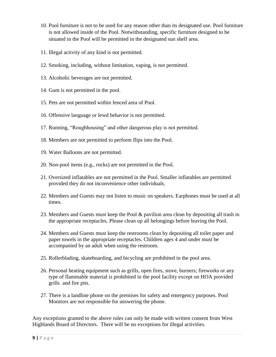- 10. Pool furniture is not to be used for any reason other than its designated use. Pool furniture is not allowed inside of the Pool. Notwithstanding, specific furniture designed to be situated in the Pool will be permitted in the designated sun shelf area.
- 11. Illegal activity of any kind is not permitted.
- 12. Smoking, including, without limitation, vaping, is not permitted.
- 13. Alcoholic beverages are not permitted.
- 14. Gum is not permitted in the pool.
- 15. Pets are not permitted within fenced area of Pool.
- 16. Offensive language or lewd behavior is not permitted.
- 17. Running, "Roughhousing" and other dangerous play is not permitted.
- 18. Members are not permitted to perform flips into the Pool.
- 19. Water Balloons are not permitted.
- 20. Non-pool items (e.g., rocks) are not permitted in the Pool.
- 21. Oversized inflatables are not permitted in the Pool. Smaller inflatables are permitted provided they do not inconvenience other individuals.
- 22. Members and Guests may not listen to music on speakers. Earphones must be used at all times.
- 23. Members and Guests must keep the Pool & pavilion area clean by depositing all trash in the appropriate receptacles. Please clean up all belongings before leaving the Pool.
- 24. Members and Guests must keep the restrooms clean by depositing all toilet paper and paper towels in the appropriate receptacles. Children ages 4 and under must be accompanied by an adult when using the restroom.
- 25. Rollerblading, skateboarding, and bicycling are prohibited in the pool area.
- 26. Personal heating equipment such as grills, open fires, stove, burners; fireworks or any type of flammable material is prohibited in the pool facility except on HOA provided grills and fire pits.
- 27. There is a landline phone on the premises for safety and emergency purposes. Pool Monitors are not responsible for answering the phone.

Any exceptions granted to the above rules can only be made with written consent from West Highlands Board of Directors. There will be no exceptions for illegal activities.